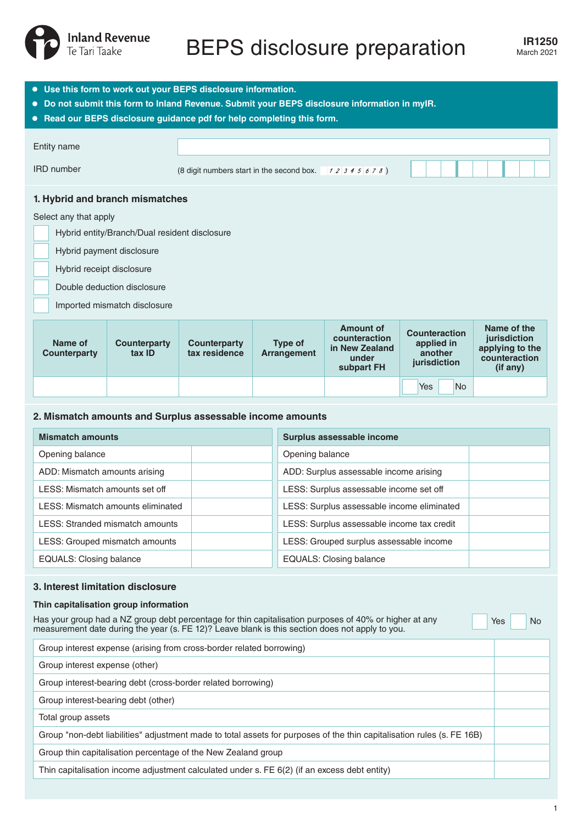

# **IR1250** BEPS disclosure preparation March 2021

| • Use this form to work out your BEPS disclosure information.<br>. Do not submit this form to Inland Revenue. Submit your BEPS disclosure information in myIR.<br>• Read our BEPS disclosure guidance pdf for help completing this form. |                                               |                                                     |                                      |                               |                                                                            |                                                        |                                                                               |  |
|------------------------------------------------------------------------------------------------------------------------------------------------------------------------------------------------------------------------------------------|-----------------------------------------------|-----------------------------------------------------|--------------------------------------|-------------------------------|----------------------------------------------------------------------------|--------------------------------------------------------|-------------------------------------------------------------------------------|--|
| Entity name                                                                                                                                                                                                                              |                                               |                                                     |                                      |                               |                                                                            |                                                        |                                                                               |  |
| <b>IRD</b> number                                                                                                                                                                                                                        |                                               | (8 digit numbers start in the second box. 12345678) |                                      |                               |                                                                            |                                                        |                                                                               |  |
|                                                                                                                                                                                                                                          |                                               | 1. Hybrid and branch mismatches                     |                                      |                               |                                                                            |                                                        |                                                                               |  |
| Select any that apply                                                                                                                                                                                                                    |                                               |                                                     |                                      |                               |                                                                            |                                                        |                                                                               |  |
|                                                                                                                                                                                                                                          | Hybrid entity/Branch/Dual resident disclosure |                                                     |                                      |                               |                                                                            |                                                        |                                                                               |  |
|                                                                                                                                                                                                                                          | Hybrid payment disclosure                     |                                                     |                                      |                               |                                                                            |                                                        |                                                                               |  |
|                                                                                                                                                                                                                                          | Hybrid receipt disclosure                     |                                                     |                                      |                               |                                                                            |                                                        |                                                                               |  |
|                                                                                                                                                                                                                                          | Double deduction disclosure                   |                                                     |                                      |                               |                                                                            |                                                        |                                                                               |  |
|                                                                                                                                                                                                                                          | Imported mismatch disclosure                  |                                                     |                                      |                               |                                                                            |                                                        |                                                                               |  |
|                                                                                                                                                                                                                                          | Name of<br>Counterparty                       | <b>Counterparty</b><br>tax ID                       | <b>Counterparty</b><br>tax residence | <b>Type of</b><br>Arrangement | <b>Amount of</b><br>counteraction<br>in New Zealand<br>under<br>subpart FH | Counteraction<br>applied in<br>another<br>jurisdiction | Name of the<br>jurisdiction<br>applying to the<br>counteraction<br>$(if$ any) |  |
|                                                                                                                                                                                                                                          |                                               |                                                     |                                      |                               |                                                                            | Yes<br><b>No</b>                                       |                                                                               |  |

### **2. Mismatch amounts and Surplus assessable income amounts**

| <b>Mismatch amounts</b>           | Surplus assessable income                  |  |  |
|-----------------------------------|--------------------------------------------|--|--|
| Opening balance                   | Opening balance                            |  |  |
| ADD: Mismatch amounts arising     | ADD: Surplus assessable income arising     |  |  |
| LESS: Mismatch amounts set off    | LESS: Surplus assessable income set off    |  |  |
| LESS: Mismatch amounts eliminated | LESS: Surplus assessable income eliminated |  |  |
| LESS: Stranded mismatch amounts   | LESS: Surplus assessable income tax credit |  |  |
| LESS: Grouped mismatch amounts    | LESS: Grouped surplus assessable income    |  |  |
| <b>EQUALS: Closing balance</b>    | <b>EQUALS: Closing balance</b>             |  |  |

#### **3. Interest limitation disclosure**

#### **Thin capitalisation group information**

Has your group had a NZ group debt percentage for thin capitalisation purposes of 40% or higher at any measurement date during the year (s. FE 12)? Leave blank is this section does not apply to you.

Yes No

Group interest expense (arising from cross-border related borrowing) Group interest expense (other) Group interest-bearing debt (cross-border related borrowing) Group interest-bearing debt (other) Total group assets Group "non-debt liabilities" adjustment made to total assets for purposes of the thin capitalisation rules (s. FE 16B) Group thin capitalisation percentage of the New Zealand group Thin capitalisation income adjustment calculated under s. FE 6(2) (if an excess debt entity)